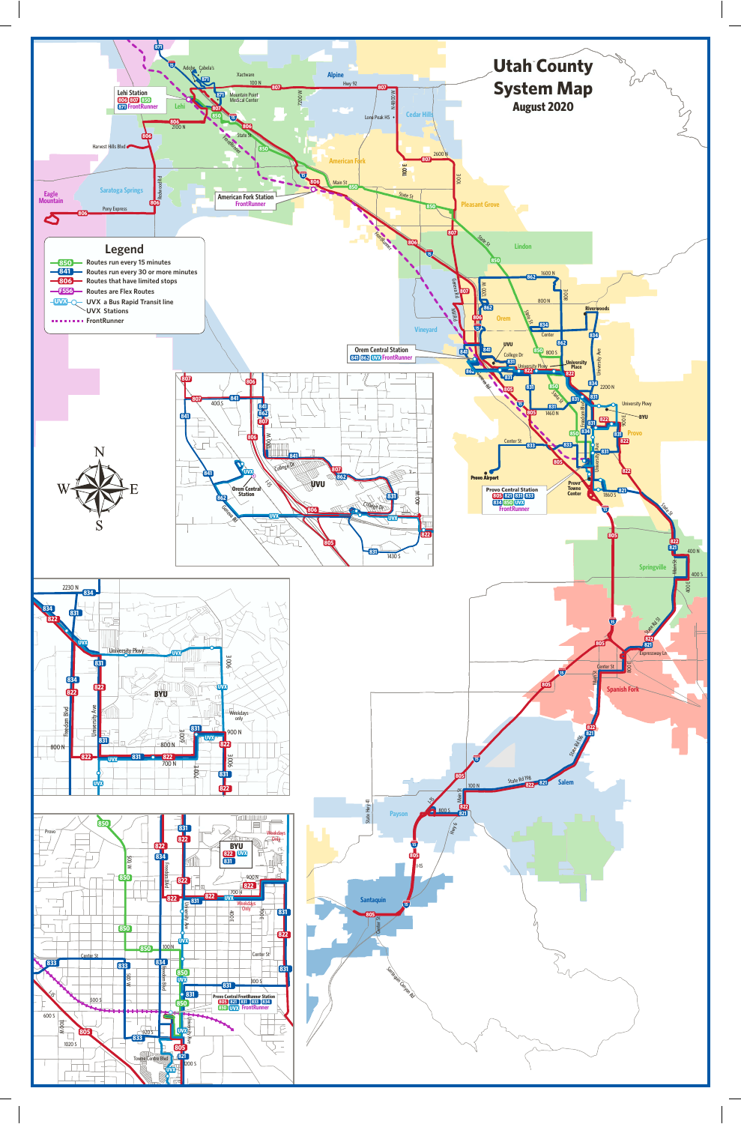